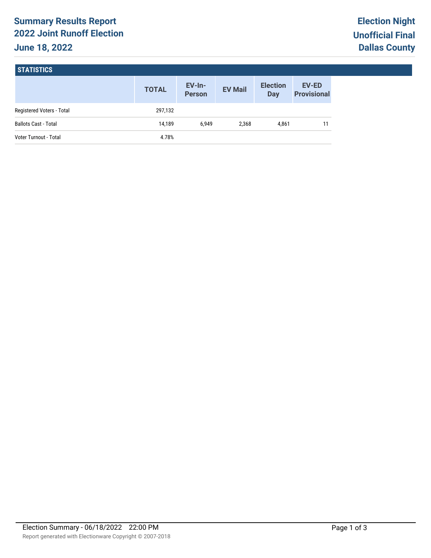# **Summary Results Report 2022 Joint Runoff Election June 18, 2022**

# **STATISTICS**

|                              | <b>TOTAL</b> | $EV-In-$<br><b>Person</b> | <b>EV Mail</b> | <b>Election</b><br>Day | <b>EV-ED</b><br><b>Provisional</b> |
|------------------------------|--------------|---------------------------|----------------|------------------------|------------------------------------|
| Registered Voters - Total    | 297,132      |                           |                |                        |                                    |
| <b>Ballots Cast - Total</b>  | 14.189       | 6.949                     | 2.368          | 4.861                  | 11                                 |
| <b>Voter Turnout - Total</b> | 4.78%        |                           |                |                        |                                    |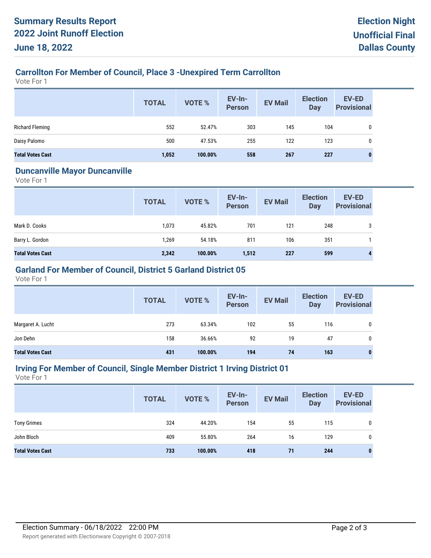## **Carrollton For Member of Council, Place 3 -Unexpired Term Carrollton**

Vote For 1

|                         | <b>TOTAL</b> | VOTE %  | EV-In-<br><b>Person</b> | <b>EV Mail</b> | <b>Election</b><br><b>Day</b> | EV-ED<br><b>Provisional</b> |
|-------------------------|--------------|---------|-------------------------|----------------|-------------------------------|-----------------------------|
| <b>Richard Fleming</b>  | 552          | 52.47%  | 303                     | 145            | 104                           | 0                           |
| Daisy Palomo            | 500          | 47.53%  | 255                     | 122            | 123                           | 0                           |
| <b>Total Votes Cast</b> | 1,052        | 100.00% | 558                     | 267            | 227                           | 0                           |

#### **Duncanville Mayor Duncanville**

Vote For 1

|                         | <b>TOTAL</b> | <b>VOTE %</b> | EV-In-<br>Person | <b>EV Mail</b> | <b>Election</b><br><b>Day</b> | <b>EV-ED</b><br><b>Provisional</b> |
|-------------------------|--------------|---------------|------------------|----------------|-------------------------------|------------------------------------|
| Mark D. Cooks           | 1,073        | 45.82%        | 701              | 121            | 248                           | 3                                  |
| Barry L. Gordon         | 1,269        | 54.18%        | 811              | 106            | 351                           |                                    |
| <b>Total Votes Cast</b> | 2,342        | 100.00%       | 1,512            | 227            | 599                           | 4                                  |

## **Garland For Member of Council, District 5 Garland District 05**

Vote For 1

|                         | <b>TOTAL</b> | VOTE %  | EV-In-<br>Person | <b>EV Mail</b> | <b>Election</b><br>Day | <b>EV-ED</b><br><b>Provisional</b> |
|-------------------------|--------------|---------|------------------|----------------|------------------------|------------------------------------|
| Margaret A. Lucht       | 273          | 63.34%  | 102              | 55             | 116                    | 0                                  |
| Jon Dehn                | 158          | 36.66%  | 92               | 19             | 47                     | 0                                  |
| <b>Total Votes Cast</b> | 431          | 100.00% | 194              | 74             | 163                    | 0                                  |

#### **Irving For Member of Council, Single Member District 1 Irving District 01**

Vote For 1

|                         | <b>TOTAL</b> | VOTE %  | <b>EV-In-</b><br><b>Person</b> | <b>EV Mail</b> | <b>Election</b><br><b>Day</b> | <b>EV-ED</b><br><b>Provisional</b> |
|-------------------------|--------------|---------|--------------------------------|----------------|-------------------------------|------------------------------------|
| <b>Tony Grimes</b>      | 324          | 44.20%  | 154                            | 55             | 115                           | 0                                  |
| John Bloch              | 409          | 55.80%  | 264                            | 16             | 129                           | 0                                  |
| <b>Total Votes Cast</b> | 733          | 100.00% | 418                            | 71             | 244                           | 0                                  |